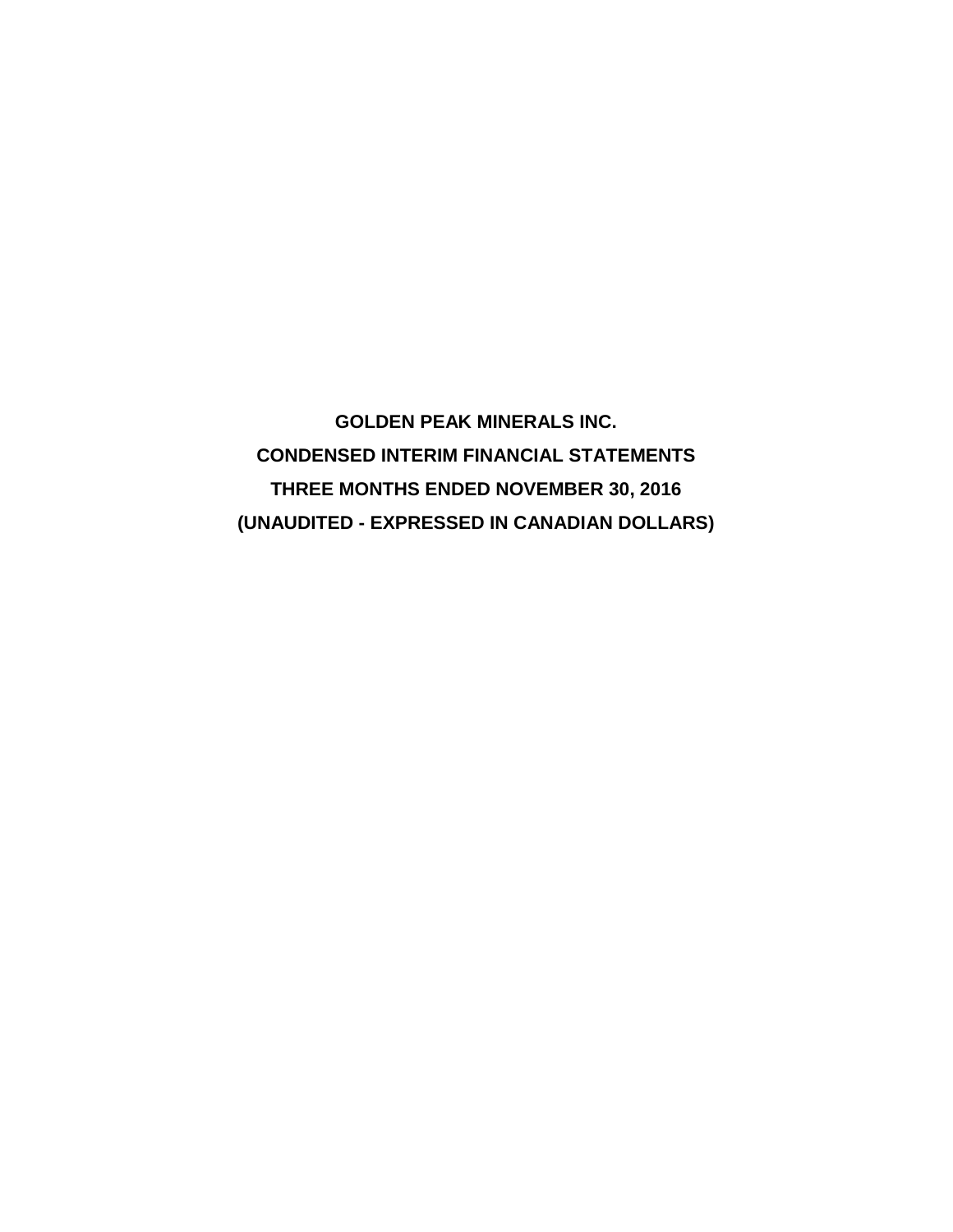**GOLDEN PEAK MINERALS INC. CONDENSED INTERIM FINANCIAL STATEMENTS THREE MONTHS ENDED NOVEMBER 30, 2016 (UNAUDITED - EXPRESSED IN CANADIAN DOLLARS)**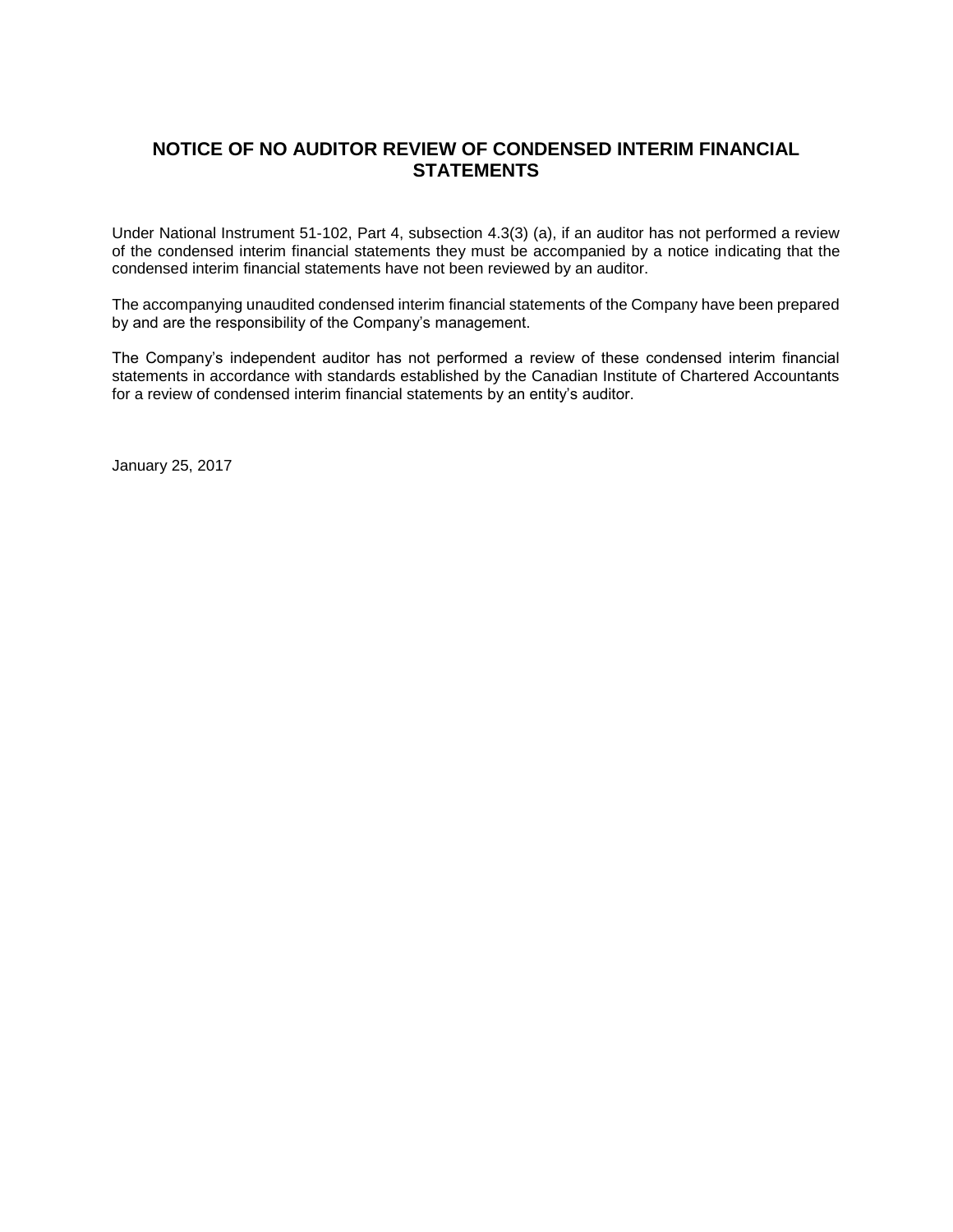# **NOTICE OF NO AUDITOR REVIEW OF CONDENSED INTERIM FINANCIAL STATEMENTS**

Under National Instrument 51-102, Part 4, subsection 4.3(3) (a), if an auditor has not performed a review of the condensed interim financial statements they must be accompanied by a notice indicating that the condensed interim financial statements have not been reviewed by an auditor.

The accompanying unaudited condensed interim financial statements of the Company have been prepared by and are the responsibility of the Company's management.

The Company's independent auditor has not performed a review of these condensed interim financial statements in accordance with standards established by the Canadian Institute of Chartered Accountants for a review of condensed interim financial statements by an entity's auditor.

January 25, 2017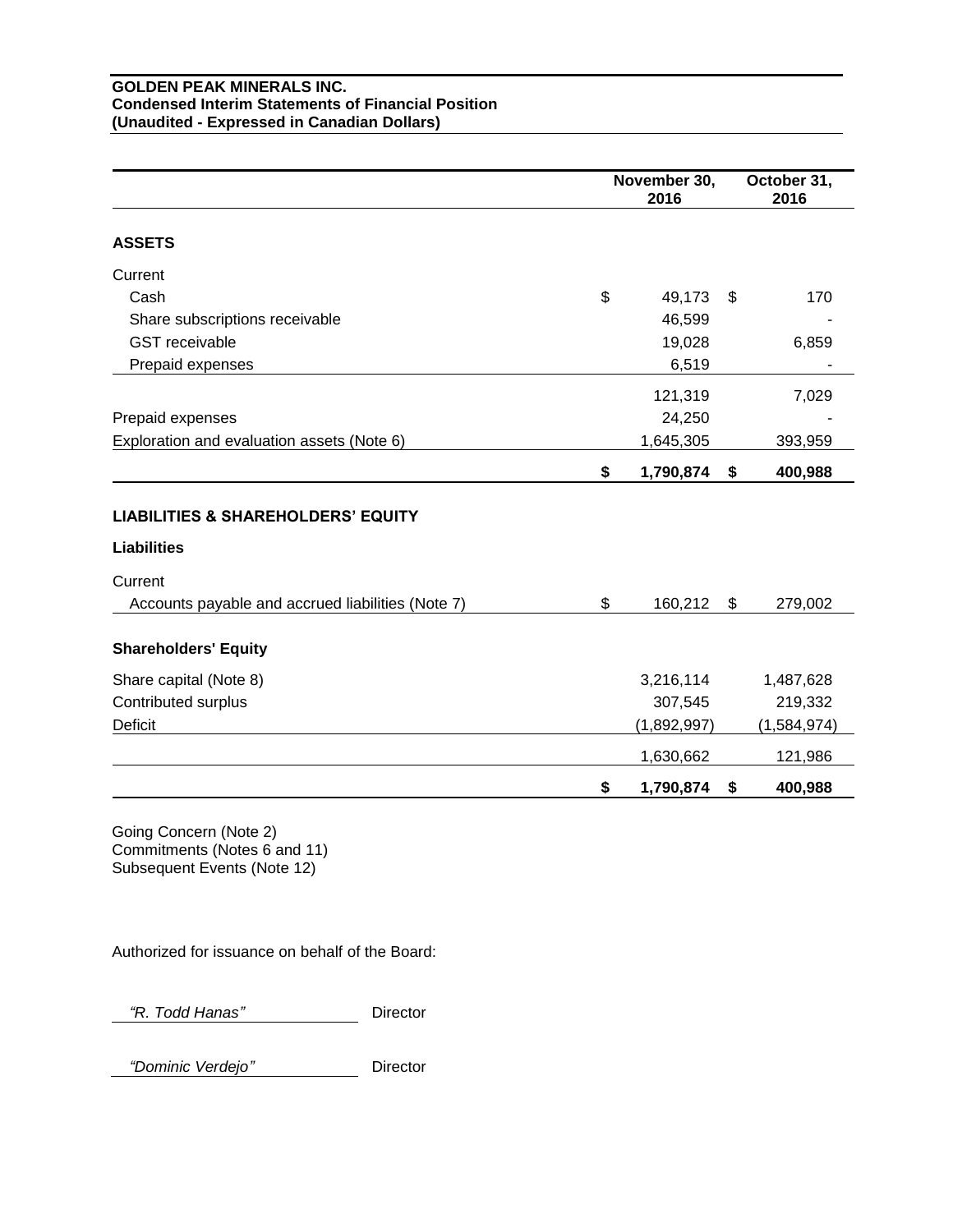#### **GOLDEN PEAK MINERALS INC. Condensed Interim Statements of Financial Position (Unaudited - Expressed in Canadian Dollars)**

|                                                   | November 30,<br>2016 | October 31,<br>2016 |
|---------------------------------------------------|----------------------|---------------------|
| <b>ASSETS</b>                                     |                      |                     |
| Current                                           |                      |                     |
| Cash                                              | \$<br>49,173         | \$<br>170           |
| Share subscriptions receivable                    | 46,599               |                     |
| <b>GST</b> receivable                             | 19,028               | 6,859               |
| Prepaid expenses                                  | 6,519                |                     |
|                                                   | 121,319              | 7,029               |
| Prepaid expenses                                  | 24,250               |                     |
| Exploration and evaluation assets (Note 6)        | 1,645,305            | 393,959             |
|                                                   | \$<br>1,790,874      | \$<br>400,988       |
| <b>LIABILITIES &amp; SHAREHOLDERS' EQUITY</b>     |                      |                     |
| <b>Liabilities</b>                                |                      |                     |
| Current                                           |                      |                     |
| Accounts payable and accrued liabilities (Note 7) | \$<br>160,212        | \$<br>279,002       |
| <b>Shareholders' Equity</b>                       |                      |                     |
| Share capital (Note 8)                            | 3,216,114            | 1,487,628           |
| Contributed surplus                               | 307,545              | 219,332             |
| Deficit                                           | (1,892,997)          | (1,584,974)         |
|                                                   | 1,630,662            | 121,986             |
|                                                   | \$<br>1,790,874      | \$<br>400,988       |

Going Concern (Note 2) Commitments (Notes 6 and 11) Subsequent Events (Note 12)

Authorized for issuance on behalf of the Board:

 *"R. Todd Hanas"* Director

 *"Dominic Verdejo"* Director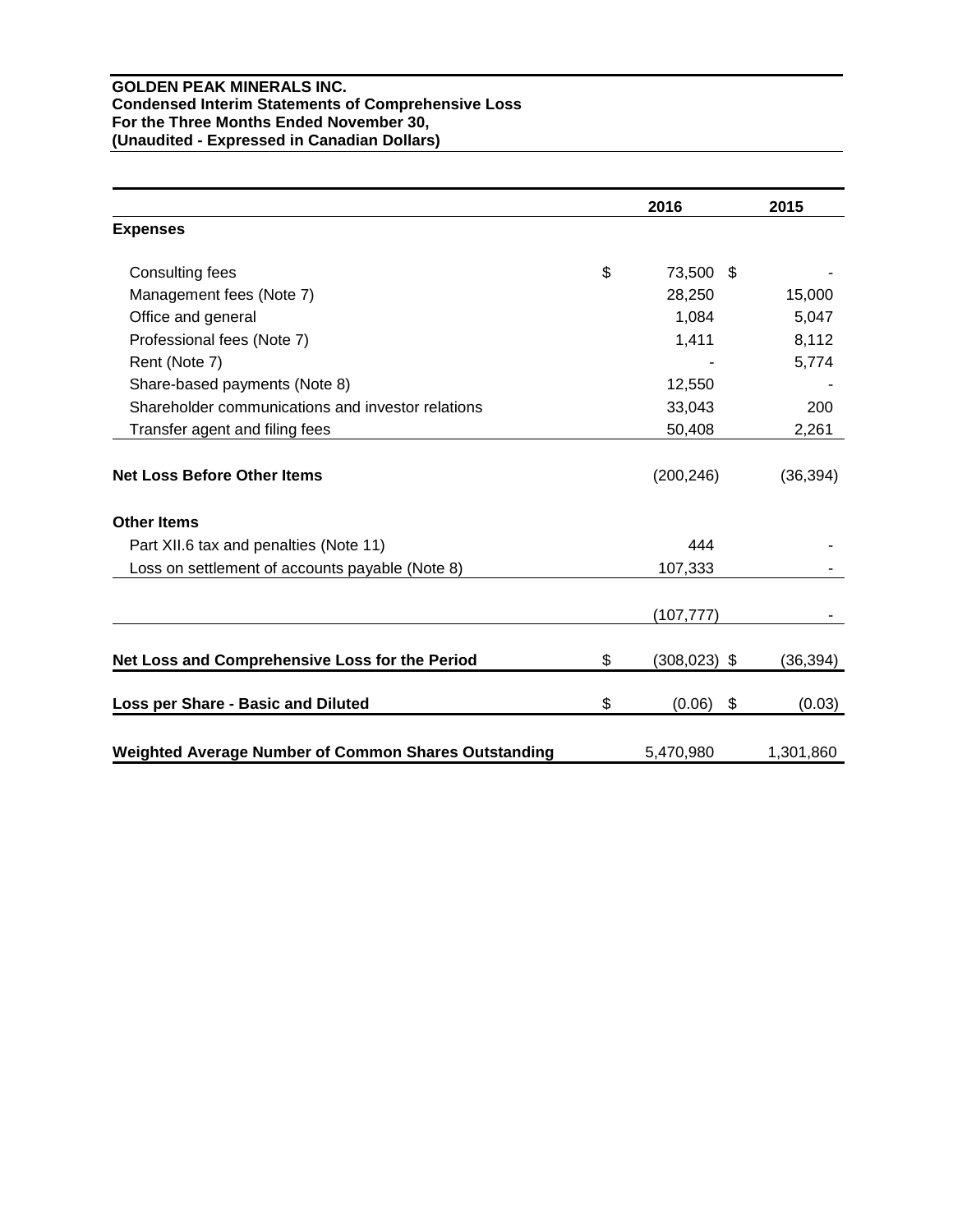## **GOLDEN PEAK MINERALS INC. Condensed Interim Statements of Comprehensive Loss For the Three Months Ended November 30, (Unaudited - Expressed in Canadian Dollars)**

|                                                      | 2016                  | 2015         |
|------------------------------------------------------|-----------------------|--------------|
| <b>Expenses</b>                                      |                       |              |
| Consulting fees                                      | \$<br>73,500 \$       |              |
| Management fees (Note 7)                             | 28,250                | 15,000       |
| Office and general                                   | 1,084                 | 5,047        |
| Professional fees (Note 7)                           | 1,411                 | 8,112        |
| Rent (Note 7)                                        |                       | 5,774        |
| Share-based payments (Note 8)                        | 12,550                |              |
| Shareholder communications and investor relations    | 33,043                | 200          |
| Transfer agent and filing fees                       | 50,408                | 2,261        |
| <b>Net Loss Before Other Items</b>                   | (200, 246)            | (36, 394)    |
| <b>Other Items</b>                                   |                       |              |
| Part XII.6 tax and penalties (Note 11)               | 444                   |              |
| Loss on settlement of accounts payable (Note 8)      | 107,333               |              |
|                                                      | (107, 777)            |              |
| Net Loss and Comprehensive Loss for the Period       | \$<br>$(308, 023)$ \$ | (36, 394)    |
| Loss per Share - Basic and Diluted                   | \$<br>(0.06)          | \$<br>(0.03) |
| Weighted Average Number of Common Shares Outstanding | 5,470,980             | 1,301,860    |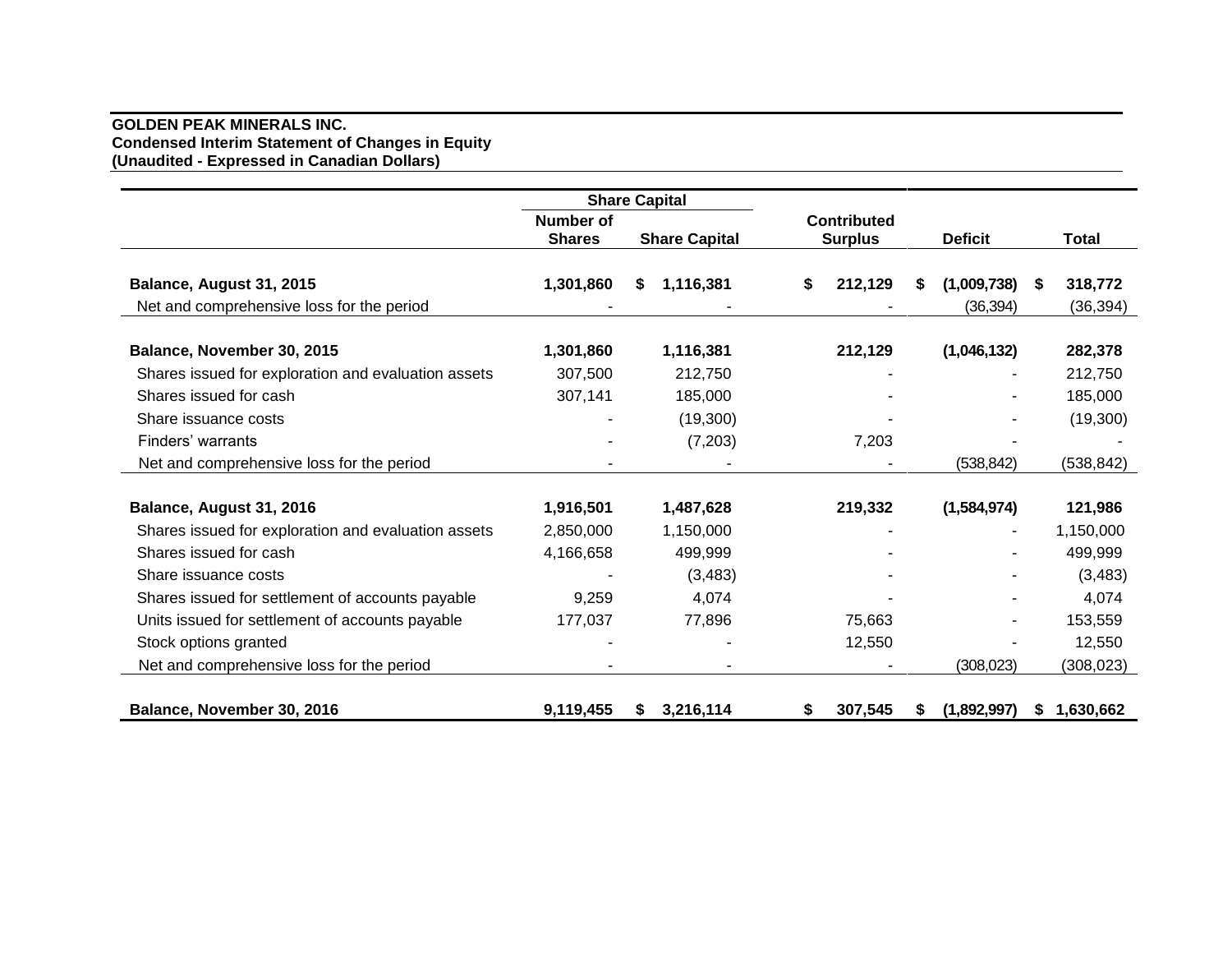## **GOLDEN PEAK MINERALS INC. Condensed Interim Statement of Changes in Equity (Unaudited - Expressed in Canadian Dollars)**

|                                                     |                                   | <b>Share Capital</b> |                                      |                  |                 |
|-----------------------------------------------------|-----------------------------------|----------------------|--------------------------------------|------------------|-----------------|
|                                                     | <b>Number of</b><br><b>Shares</b> | <b>Share Capital</b> | <b>Contributed</b><br><b>Surplus</b> | <b>Deficit</b>   | <b>Total</b>    |
| Balance, August 31, 2015                            | 1,301,860                         | 1,116,381<br>S.      | 212,129<br>\$                        | (1,009,738)<br>S | 318,772<br>S.   |
| Net and comprehensive loss for the period           |                                   |                      |                                      | (36, 394)        | (36, 394)       |
|                                                     |                                   |                      |                                      |                  |                 |
| Balance, November 30, 2015                          | 1,301,860                         | 1,116,381            | 212,129                              | (1,046,132)      | 282,378         |
| Shares issued for exploration and evaluation assets | 307,500                           | 212,750              |                                      |                  | 212,750         |
| Shares issued for cash                              | 307,141                           | 185,000              |                                      |                  | 185,000         |
| Share issuance costs                                |                                   | (19,300)             |                                      |                  | (19,300)        |
| Finders' warrants                                   |                                   | (7,203)              | 7,203                                |                  |                 |
| Net and comprehensive loss for the period           |                                   |                      |                                      | (538, 842)       | (538, 842)      |
|                                                     |                                   |                      |                                      |                  |                 |
| Balance, August 31, 2016                            | 1,916,501                         | 1,487,628            | 219,332                              | (1,584,974)      | 121,986         |
| Shares issued for exploration and evaluation assets | 2,850,000                         | 1,150,000            |                                      |                  | 1,150,000       |
| Shares issued for cash                              | 4,166,658                         | 499,999              |                                      |                  | 499,999         |
| Share issuance costs                                |                                   | (3, 483)             |                                      |                  | (3, 483)        |
| Shares issued for settlement of accounts payable    | 9,259                             | 4,074                |                                      |                  | 4,074           |
| Units issued for settlement of accounts payable     | 177,037                           | 77,896               | 75,663                               |                  | 153,559         |
| Stock options granted                               |                                   |                      | 12,550                               |                  | 12,550          |
| Net and comprehensive loss for the period           |                                   |                      |                                      | (308, 023)       | (308, 023)      |
|                                                     |                                   |                      |                                      |                  |                 |
| Balance, November 30, 2016                          | 9,119,455                         | 3,216,114<br>S       | 307,545<br>\$                        | (1,892,997)<br>S | 1,630,662<br>S. |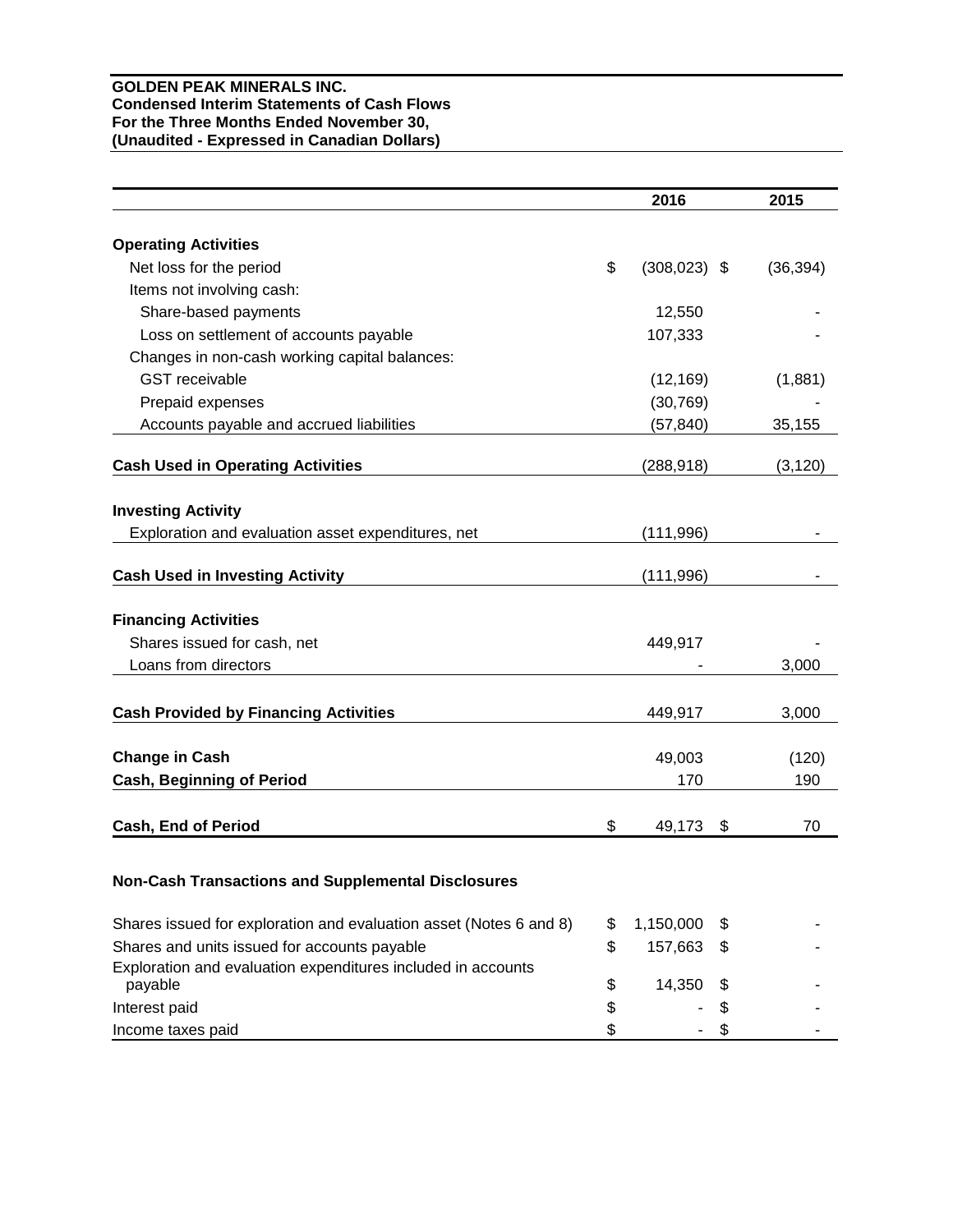#### **GOLDEN PEAK MINERALS INC. Condensed Interim Statements of Cash Flows For the Three Months Ended November 30, (Unaudited - Expressed in Canadian Dollars)**

|                                                                         | 2016                  |    | 2015      |
|-------------------------------------------------------------------------|-----------------------|----|-----------|
| <b>Operating Activities</b>                                             |                       |    |           |
| Net loss for the period                                                 | \$<br>$(308, 023)$ \$ |    | (36, 394) |
| Items not involving cash:                                               |                       |    |           |
| Share-based payments                                                    | 12,550                |    |           |
| Loss on settlement of accounts payable                                  | 107,333               |    |           |
|                                                                         |                       |    |           |
| Changes in non-cash working capital balances:                           |                       |    |           |
| <b>GST</b> receivable                                                   | (12, 169)             |    | (1,881)   |
| Prepaid expenses                                                        | (30, 769)             |    |           |
| Accounts payable and accrued liabilities                                | (57, 840)             |    | 35,155    |
| <b>Cash Used in Operating Activities</b>                                | (288, 918)            |    | (3, 120)  |
| <b>Investing Activity</b>                                               |                       |    |           |
| Exploration and evaluation asset expenditures, net                      | (111, 996)            |    |           |
|                                                                         |                       |    |           |
| <b>Cash Used in Investing Activity</b>                                  | (111, 996)            |    |           |
| <b>Financing Activities</b>                                             |                       |    |           |
| Shares issued for cash, net                                             | 449,917               |    |           |
| Loans from directors                                                    |                       |    | 3,000     |
|                                                                         |                       |    |           |
| <b>Cash Provided by Financing Activities</b>                            | 449,917               |    | 3,000     |
| <b>Change in Cash</b>                                                   | 49,003                |    | (120)     |
| <b>Cash, Beginning of Period</b>                                        | 170                   |    | 190       |
|                                                                         |                       |    |           |
| <b>Cash, End of Period</b>                                              | \$<br>49,173          | \$ | 70        |
|                                                                         |                       |    |           |
| <b>Non-Cash Transactions and Supplemental Disclosures</b>               |                       |    |           |
| Shares issued for exploration and evaluation asset (Notes 6 and 8)      | \$<br>1,150,000       | \$ |           |
| Shares and units issued for accounts payable                            | \$<br>157,663         | \$ |           |
| Exploration and evaluation expenditures included in accounts<br>payable | \$<br>14,350          | S  |           |
| Interest paid                                                           | \$                    | \$ |           |
| Income taxes paid                                                       | \$                    | \$ |           |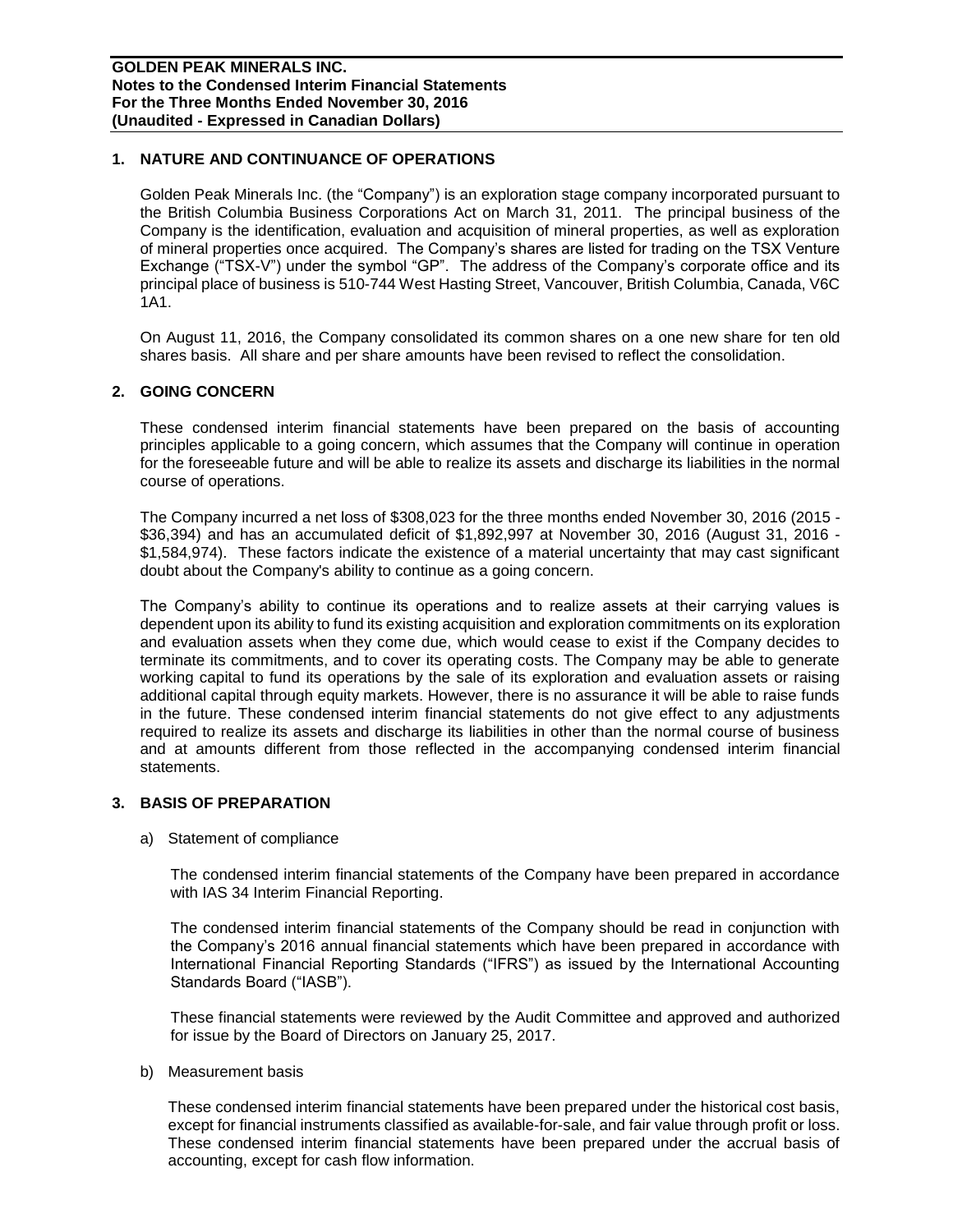## **1. NATURE AND CONTINUANCE OF OPERATIONS**

Golden Peak Minerals Inc. (the "Company") is an exploration stage company incorporated pursuant to the British Columbia Business Corporations Act on March 31, 2011. The principal business of the Company is the identification, evaluation and acquisition of mineral properties, as well as exploration of mineral properties once acquired. The Company's shares are listed for trading on the TSX Venture Exchange ("TSX-V") under the symbol "GP". The address of the Company's corporate office and its principal place of business is 510-744 West Hasting Street, Vancouver, British Columbia, Canada, V6C 1A1.

On August 11, 2016, the Company consolidated its common shares on a one new share for ten old shares basis. All share and per share amounts have been revised to reflect the consolidation.

#### **2. GOING CONCERN**

These condensed interim financial statements have been prepared on the basis of accounting principles applicable to a going concern, which assumes that the Company will continue in operation for the foreseeable future and will be able to realize its assets and discharge its liabilities in the normal course of operations.

The Company incurred a net loss of \$308,023 for the three months ended November 30, 2016 (2015 - \$36,394) and has an accumulated deficit of \$1,892,997 at November 30, 2016 (August 31, 2016 - \$1,584,974). These factors indicate the existence of a material uncertainty that may cast significant doubt about the Company's ability to continue as a going concern.

The Company's ability to continue its operations and to realize assets at their carrying values is dependent upon its ability to fund its existing acquisition and exploration commitments on its exploration and evaluation assets when they come due, which would cease to exist if the Company decides to terminate its commitments, and to cover its operating costs. The Company may be able to generate working capital to fund its operations by the sale of its exploration and evaluation assets or raising additional capital through equity markets. However, there is no assurance it will be able to raise funds in the future. These condensed interim financial statements do not give effect to any adjustments required to realize its assets and discharge its liabilities in other than the normal course of business and at amounts different from those reflected in the accompanying condensed interim financial statements.

#### **3. BASIS OF PREPARATION**

a) Statement of compliance

The condensed interim financial statements of the Company have been prepared in accordance with IAS 34 Interim Financial Reporting.

The condensed interim financial statements of the Company should be read in conjunction with the Company's 2016 annual financial statements which have been prepared in accordance with International Financial Reporting Standards ("IFRS") as issued by the International Accounting Standards Board ("IASB").

These financial statements were reviewed by the Audit Committee and approved and authorized for issue by the Board of Directors on January 25, 2017.

b) Measurement basis

These condensed interim financial statements have been prepared under the historical cost basis, except for financial instruments classified as available-for-sale, and fair value through profit or loss. These condensed interim financial statements have been prepared under the accrual basis of accounting, except for cash flow information.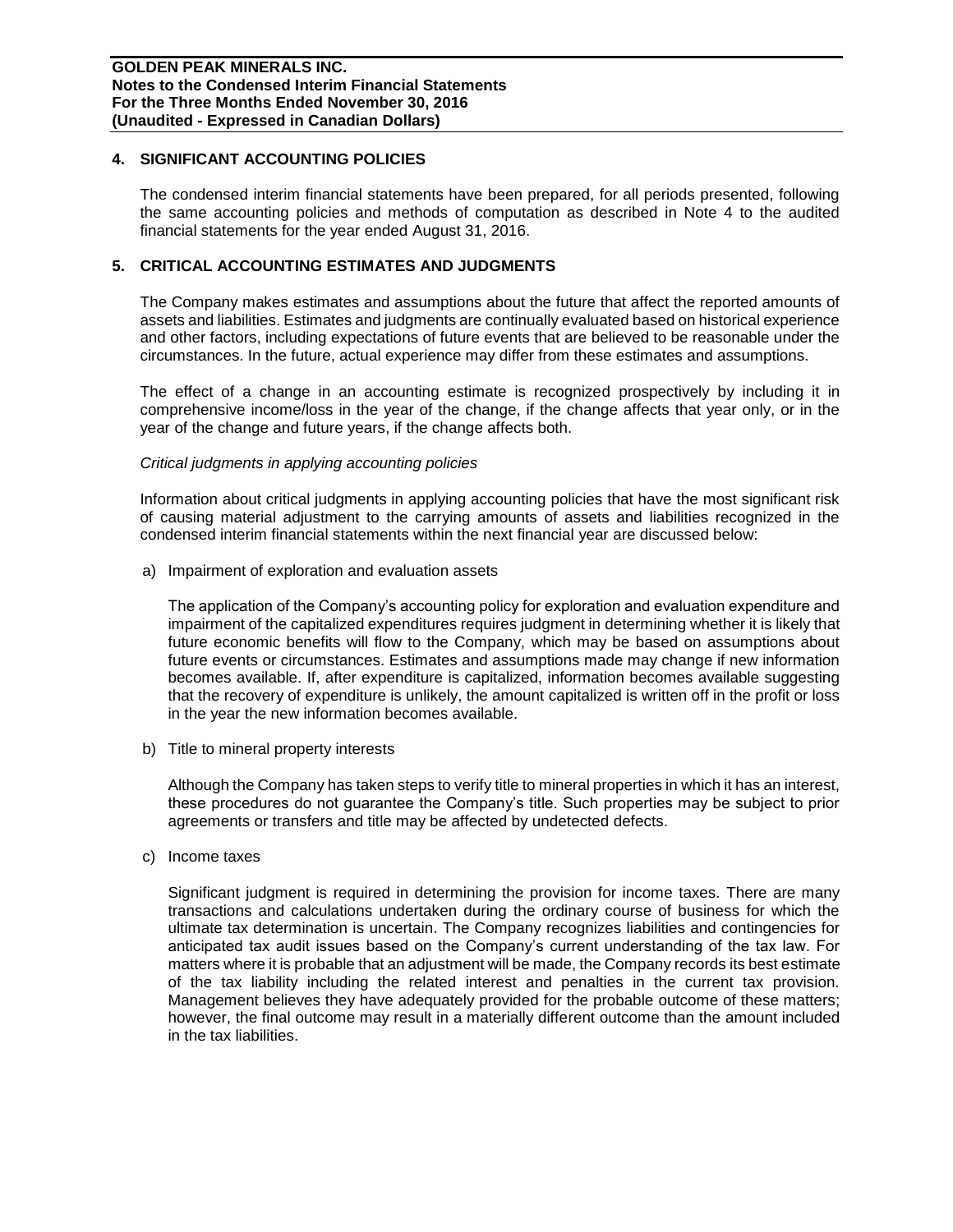#### **4. SIGNIFICANT ACCOUNTING POLICIES**

The condensed interim financial statements have been prepared, for all periods presented, following the same accounting policies and methods of computation as described in Note 4 to the audited financial statements for the year ended August 31, 2016.

## **5. CRITICAL ACCOUNTING ESTIMATES AND JUDGMENTS**

The Company makes estimates and assumptions about the future that affect the reported amounts of assets and liabilities. Estimates and judgments are continually evaluated based on historical experience and other factors, including expectations of future events that are believed to be reasonable under the circumstances. In the future, actual experience may differ from these estimates and assumptions.

The effect of a change in an accounting estimate is recognized prospectively by including it in comprehensive income/loss in the year of the change, if the change affects that year only, or in the year of the change and future years, if the change affects both.

#### *Critical judgments in applying accounting policies*

Information about critical judgments in applying accounting policies that have the most significant risk of causing material adjustment to the carrying amounts of assets and liabilities recognized in the condensed interim financial statements within the next financial year are discussed below:

a) Impairment of exploration and evaluation assets

The application of the Company's accounting policy for exploration and evaluation expenditure and impairment of the capitalized expenditures requires judgment in determining whether it is likely that future economic benefits will flow to the Company, which may be based on assumptions about future events or circumstances. Estimates and assumptions made may change if new information becomes available. If, after expenditure is capitalized, information becomes available suggesting that the recovery of expenditure is unlikely, the amount capitalized is written off in the profit or loss in the year the new information becomes available.

b) Title to mineral property interests

Although the Company has taken steps to verify title to mineral properties in which it has an interest, these procedures do not guarantee the Company's title. Such properties may be subject to prior agreements or transfers and title may be affected by undetected defects.

c) Income taxes

Significant judgment is required in determining the provision for income taxes. There are many transactions and calculations undertaken during the ordinary course of business for which the ultimate tax determination is uncertain. The Company recognizes liabilities and contingencies for anticipated tax audit issues based on the Company's current understanding of the tax law. For matters where it is probable that an adjustment will be made, the Company records its best estimate of the tax liability including the related interest and penalties in the current tax provision. Management believes they have adequately provided for the probable outcome of these matters; however, the final outcome may result in a materially different outcome than the amount included in the tax liabilities.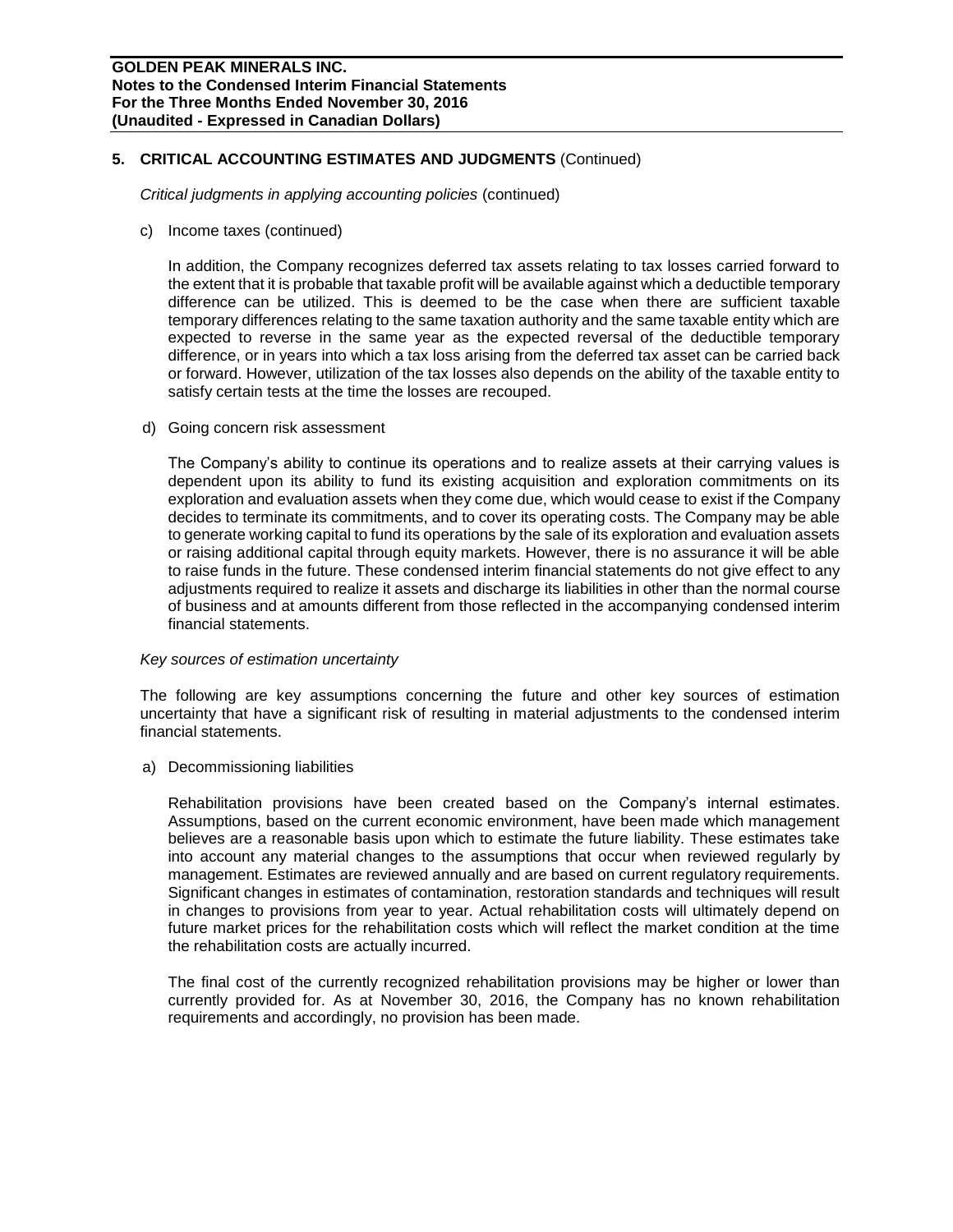## **5. CRITICAL ACCOUNTING ESTIMATES AND JUDGMENTS** (Continued)

*Critical judgments in applying accounting policies* (continued)

c) Income taxes (continued)

In addition, the Company recognizes deferred tax assets relating to tax losses carried forward to the extent that it is probable that taxable profit will be available against which a deductible temporary difference can be utilized. This is deemed to be the case when there are sufficient taxable temporary differences relating to the same taxation authority and the same taxable entity which are expected to reverse in the same year as the expected reversal of the deductible temporary difference, or in years into which a tax loss arising from the deferred tax asset can be carried back or forward. However, utilization of the tax losses also depends on the ability of the taxable entity to satisfy certain tests at the time the losses are recouped.

d) Going concern risk assessment

The Company's ability to continue its operations and to realize assets at their carrying values is dependent upon its ability to fund its existing acquisition and exploration commitments on its exploration and evaluation assets when they come due, which would cease to exist if the Company decides to terminate its commitments, and to cover its operating costs. The Company may be able to generate working capital to fund its operations by the sale of its exploration and evaluation assets or raising additional capital through equity markets. However, there is no assurance it will be able to raise funds in the future. These condensed interim financial statements do not give effect to any adjustments required to realize it assets and discharge its liabilities in other than the normal course of business and at amounts different from those reflected in the accompanying condensed interim financial statements.

#### *Key sources of estimation uncertainty*

The following are key assumptions concerning the future and other key sources of estimation uncertainty that have a significant risk of resulting in material adjustments to the condensed interim financial statements.

a) Decommissioning liabilities

Rehabilitation provisions have been created based on the Company's internal estimates. Assumptions, based on the current economic environment, have been made which management believes are a reasonable basis upon which to estimate the future liability. These estimates take into account any material changes to the assumptions that occur when reviewed regularly by management. Estimates are reviewed annually and are based on current regulatory requirements. Significant changes in estimates of contamination, restoration standards and techniques will result in changes to provisions from year to year. Actual rehabilitation costs will ultimately depend on future market prices for the rehabilitation costs which will reflect the market condition at the time the rehabilitation costs are actually incurred.

The final cost of the currently recognized rehabilitation provisions may be higher or lower than currently provided for. As at November 30, 2016, the Company has no known rehabilitation requirements and accordingly, no provision has been made.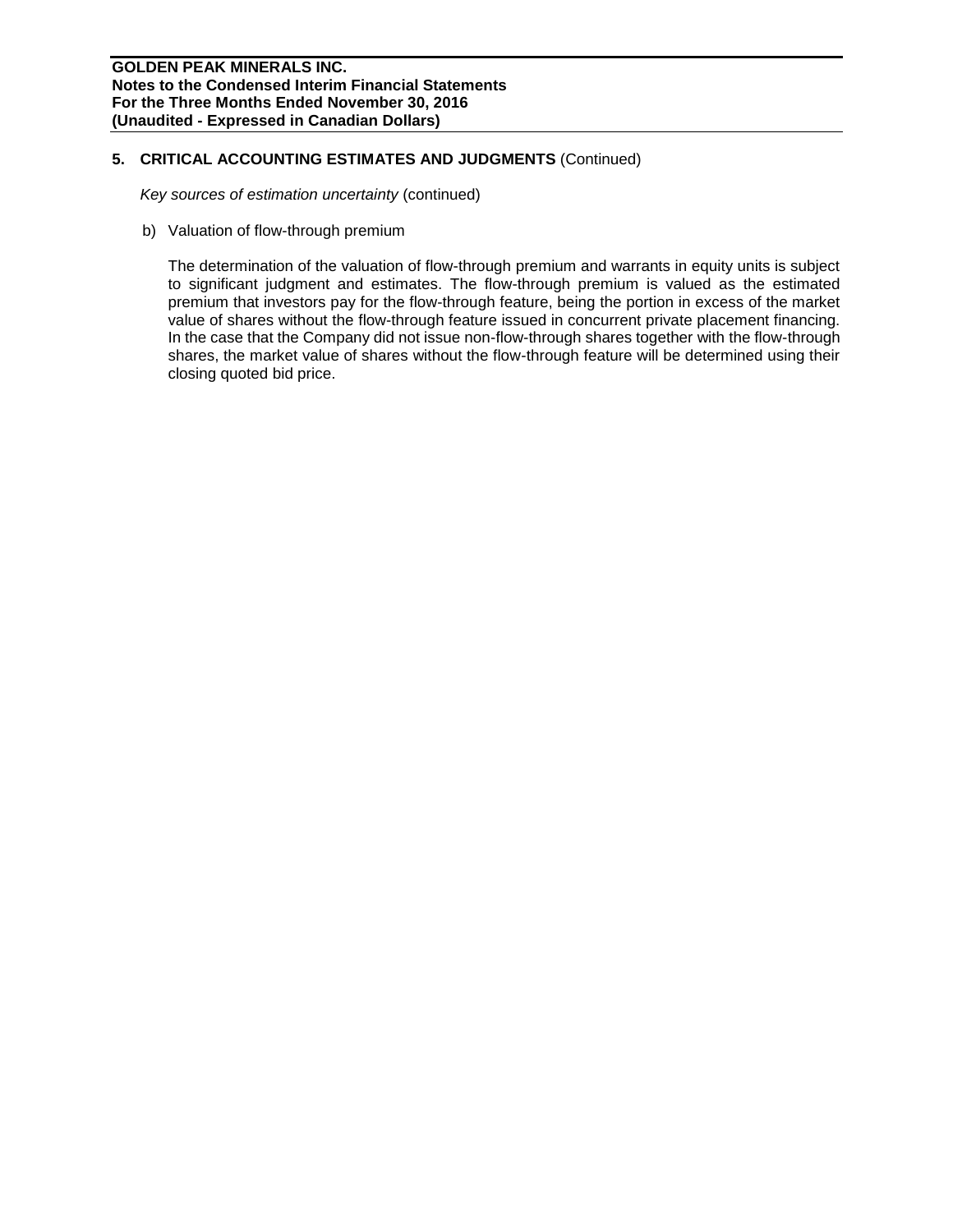## **5. CRITICAL ACCOUNTING ESTIMATES AND JUDGMENTS** (Continued)

*Key sources of estimation uncertainty* (continued)

b) Valuation of flow-through premium

The determination of the valuation of flow-through premium and warrants in equity units is subject to significant judgment and estimates. The flow-through premium is valued as the estimated premium that investors pay for the flow-through feature, being the portion in excess of the market value of shares without the flow-through feature issued in concurrent private placement financing. In the case that the Company did not issue non-flow-through shares together with the flow-through shares, the market value of shares without the flow-through feature will be determined using their closing quoted bid price.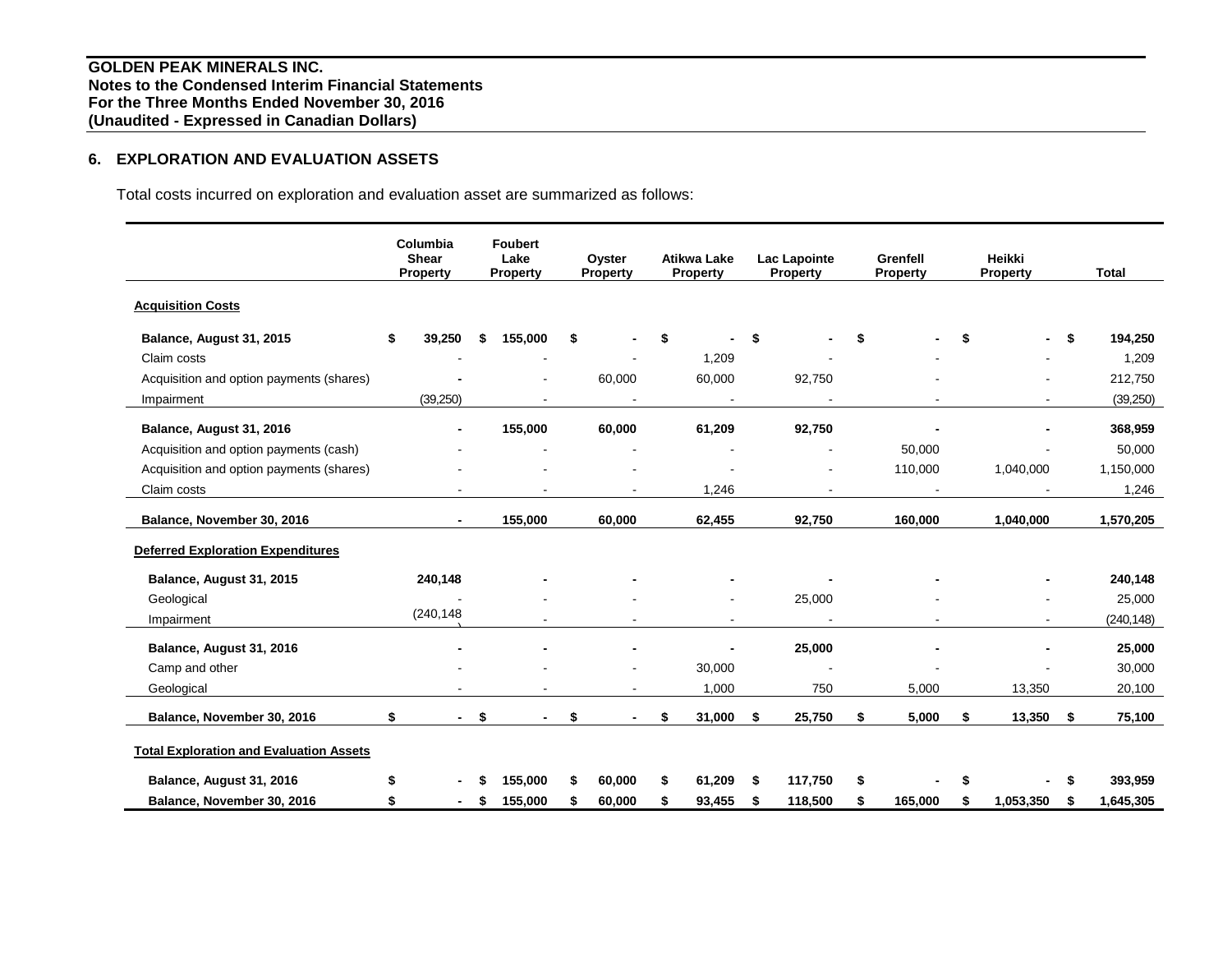# **6. EXPLORATION AND EVALUATION ASSETS**

Total costs incurred on exploration and evaluation asset are summarized as follows:

|                                                | Columbia<br><b>Shear</b><br><b>Property</b> |     | <b>Foubert</b><br>Lake<br><b>Property</b> |    | Oyster<br>Property |    | <b>Atikwa Lake</b><br><b>Property</b> | <b>Lac Lapointe</b><br>Property |    | Grenfell<br>Property |    | Heikki<br>Property |    | <b>Total</b> |
|------------------------------------------------|---------------------------------------------|-----|-------------------------------------------|----|--------------------|----|---------------------------------------|---------------------------------|----|----------------------|----|--------------------|----|--------------|
| <b>Acquisition Costs</b>                       |                                             |     |                                           |    |                    |    |                                       |                                 |    |                      |    |                    |    |              |
| Balance, August 31, 2015                       | \$<br>39,250                                | \$  | 155,000                                   | \$ |                    | S  |                                       | \$                              | \$ |                      | \$ |                    | \$ | 194,250      |
| Claim costs                                    |                                             |     |                                           |    |                    |    | 1,209                                 |                                 |    |                      |    |                    |    | 1,209        |
| Acquisition and option payments (shares)       |                                             |     |                                           |    | 60,000             |    | 60,000                                | 92,750                          |    |                      |    |                    |    | 212,750      |
| Impairment                                     | (39,250)                                    |     |                                           |    |                    |    |                                       |                                 |    |                      |    |                    |    | (39,250)     |
| Balance, August 31, 2016                       | $\blacksquare$                              |     | 155,000                                   |    | 60,000             |    | 61,209                                | 92,750                          |    |                      |    |                    |    | 368,959      |
| Acquisition and option payments (cash)         |                                             |     |                                           |    |                    |    |                                       |                                 |    | 50,000               |    |                    |    | 50,000       |
| Acquisition and option payments (shares)       |                                             |     |                                           |    |                    |    |                                       |                                 |    | 110,000              |    | 1,040,000          |    | 1,150,000    |
| Claim costs                                    |                                             |     |                                           |    |                    |    | 1,246                                 |                                 |    |                      |    |                    |    | 1,246        |
| Balance, November 30, 2016                     | $\overline{\phantom{0}}$                    |     | 155,000                                   |    | 60,000             |    | 62,455                                | 92,750                          |    | 160,000              |    | 1,040,000          |    | 1,570,205    |
| <b>Deferred Exploration Expenditures</b>       |                                             |     |                                           |    |                    |    |                                       |                                 |    |                      |    |                    |    |              |
| Balance, August 31, 2015                       | 240,148                                     |     |                                           |    |                    |    |                                       |                                 |    |                      |    |                    |    | 240,148      |
| Geological                                     |                                             |     |                                           |    |                    |    |                                       | 25,000                          |    |                      |    |                    |    | 25,000       |
| Impairment                                     | (240, 148)                                  |     |                                           |    | $\blacksquare$     |    | $\blacksquare$                        | $\sim$                          |    | $\blacksquare$       |    | $\sim$             |    | (240, 148)   |
| Balance, August 31, 2016                       |                                             |     |                                           |    |                    |    |                                       | 25,000                          |    |                      |    |                    |    | 25,000       |
| Camp and other                                 |                                             |     |                                           |    |                    |    | 30,000                                |                                 |    |                      |    |                    |    | 30,000       |
| Geological                                     |                                             |     |                                           |    |                    |    | 1,000                                 | 750                             |    | 5,000                |    | 13,350             |    | 20,100       |
| Balance, November 30, 2016                     | \$<br>$\blacksquare$                        | -\$ |                                           | \$ |                    | \$ | 31,000                                | \$<br>25,750                    | \$ | 5,000                | \$ | 13,350             | \$ | 75,100       |
| <b>Total Exploration and Evaluation Assets</b> |                                             |     |                                           |    |                    |    |                                       |                                 |    |                      |    |                    |    |              |
| Balance, August 31, 2016                       |                                             |     | 155,000                                   | \$ | 60,000             |    | 61.209                                | \$<br>117,750                   | \$ |                      | S  |                    | S  | 393,959      |
| Balance, November 30, 2016                     | $\blacksquare$                              | -S  | 155,000                                   | S  | 60,000             |    | 93,455                                | \$<br>118,500                   | S  | 165,000              | S  | 1,053,350          | S  | 1,645,305    |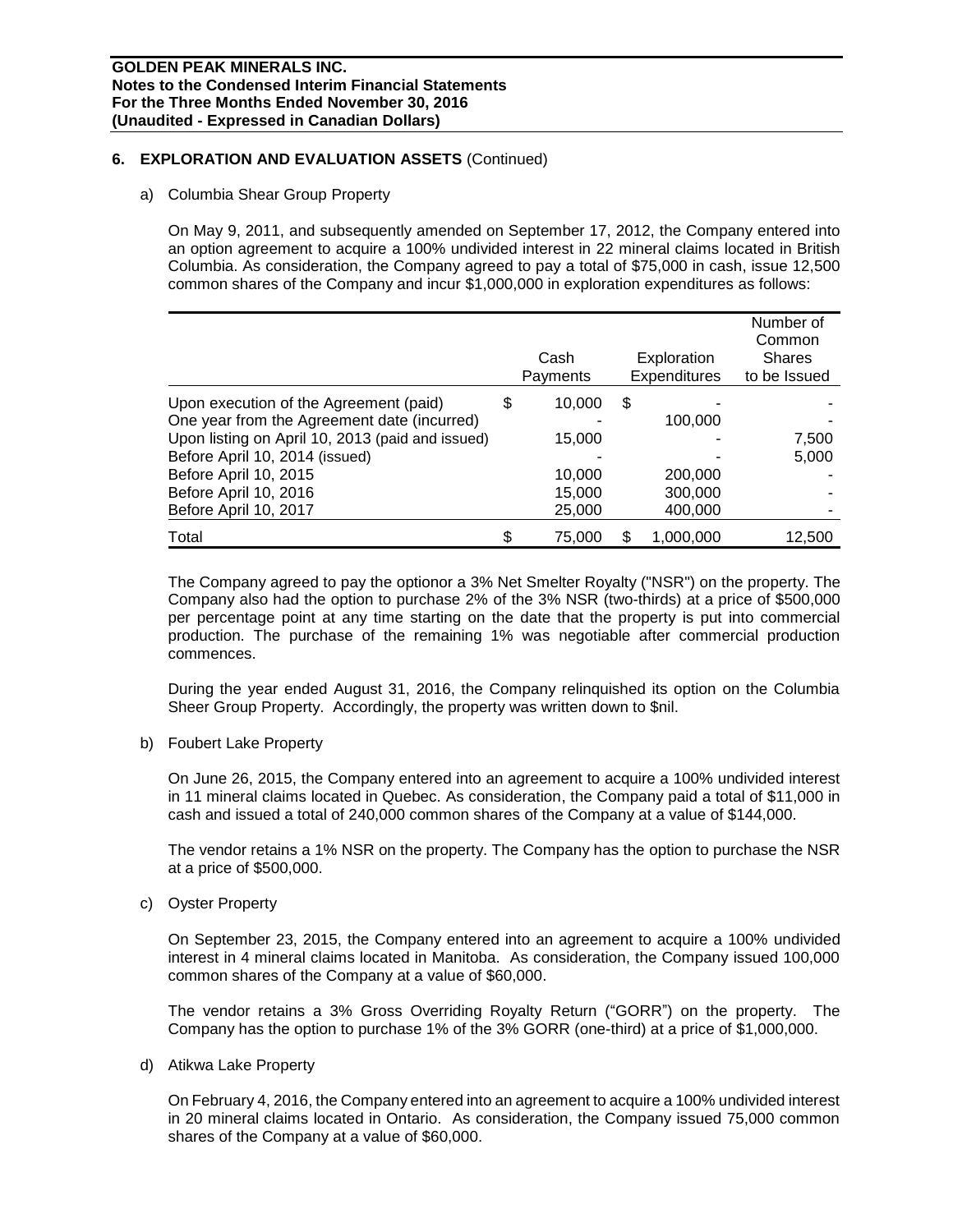## **6. EXPLORATION AND EVALUATION ASSETS** (Continued)

#### a) Columbia Shear Group Property

On May 9, 2011, and subsequently amended on September 17, 2012, the Company entered into an option agreement to acquire a 100% undivided interest in 22 mineral claims located in British Columbia. As consideration, the Company agreed to pay a total of \$75,000 in cash, issue 12,500 common shares of the Company and incur \$1,000,000 in exploration expenditures as follows:

|                                                  | Cash<br>Payments | Exploration<br><b>Expenditures</b> | Number of<br>Common<br><b>Shares</b><br>to be Issued |
|--------------------------------------------------|------------------|------------------------------------|------------------------------------------------------|
| Upon execution of the Agreement (paid)           | \$<br>10,000     | \$                                 |                                                      |
| One year from the Agreement date (incurred)      |                  | 100,000                            |                                                      |
| Upon listing on April 10, 2013 (paid and issued) | 15,000           |                                    | 7,500                                                |
| Before April 10, 2014 (issued)                   |                  |                                    | 5,000                                                |
| Before April 10, 2015                            | 10,000           | 200,000                            |                                                      |
| Before April 10, 2016                            | 15,000           | 300,000                            |                                                      |
| Before April 10, 2017                            | 25,000           | 400,000                            |                                                      |
| Total                                            | 75,000           | 1,000,000                          | 12,500                                               |

The Company agreed to pay the optionor a 3% Net Smelter Royalty ("NSR") on the property. The Company also had the option to purchase 2% of the 3% NSR (two-thirds) at a price of \$500,000 per percentage point at any time starting on the date that the property is put into commercial production. The purchase of the remaining 1% was negotiable after commercial production commences.

During the year ended August 31, 2016, the Company relinquished its option on the Columbia Sheer Group Property. Accordingly, the property was written down to \$nil.

b) Foubert Lake Property

On June 26, 2015, the Company entered into an agreement to acquire a 100% undivided interest in 11 mineral claims located in Quebec. As consideration, the Company paid a total of \$11,000 in cash and issued a total of 240,000 common shares of the Company at a value of \$144,000.

The vendor retains a 1% NSR on the property. The Company has the option to purchase the NSR at a price of \$500,000.

c) Oyster Property

On September 23, 2015, the Company entered into an agreement to acquire a 100% undivided interest in 4 mineral claims located in Manitoba. As consideration, the Company issued 100,000 common shares of the Company at a value of \$60,000.

The vendor retains a 3% Gross Overriding Royalty Return ("GORR") on the property. The Company has the option to purchase 1% of the 3% GORR (one-third) at a price of \$1,000,000.

d) Atikwa Lake Property

On February 4, 2016, the Company entered into an agreement to acquire a 100% undivided interest in 20 mineral claims located in Ontario. As consideration, the Company issued 75,000 common shares of the Company at a value of \$60,000.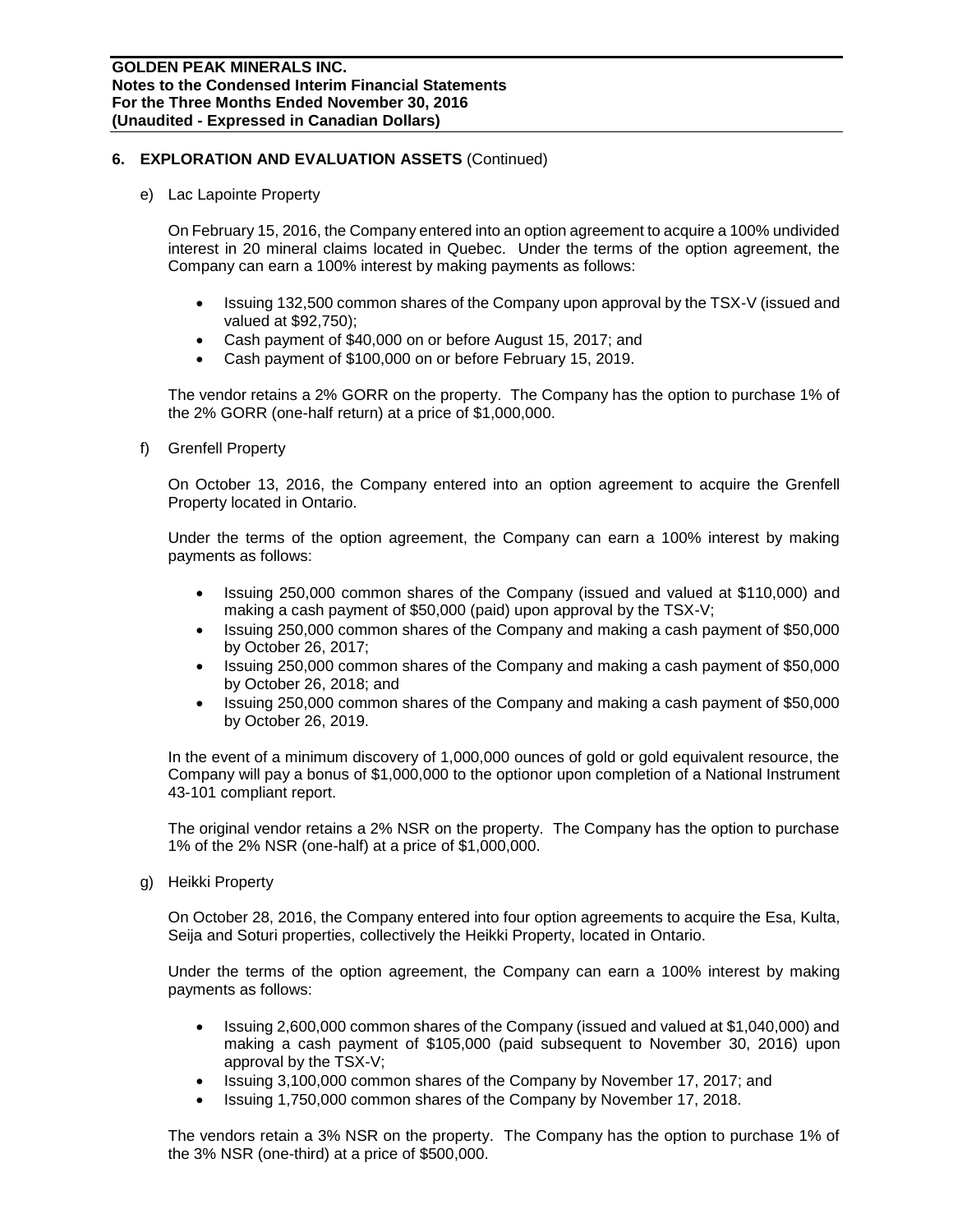#### **6. EXPLORATION AND EVALUATION ASSETS** (Continued)

e) Lac Lapointe Property

On February 15, 2016, the Company entered into an option agreement to acquire a 100% undivided interest in 20 mineral claims located in Quebec. Under the terms of the option agreement, the Company can earn a 100% interest by making payments as follows:

- Issuing 132,500 common shares of the Company upon approval by the TSX-V (issued and valued at \$92,750);
- Cash payment of \$40,000 on or before August 15, 2017; and
- Cash payment of \$100,000 on or before February 15, 2019.

The vendor retains a 2% GORR on the property. The Company has the option to purchase 1% of the 2% GORR (one-half return) at a price of \$1,000,000.

f) Grenfell Property

On October 13, 2016, the Company entered into an option agreement to acquire the Grenfell Property located in Ontario.

Under the terms of the option agreement, the Company can earn a 100% interest by making payments as follows:

- Issuing 250,000 common shares of the Company (issued and valued at \$110,000) and making a cash payment of \$50,000 (paid) upon approval by the TSX-V;
- Issuing 250,000 common shares of the Company and making a cash payment of \$50,000 by October 26, 2017;
- Issuing 250,000 common shares of the Company and making a cash payment of \$50,000 by October 26, 2018; and
- Issuing 250,000 common shares of the Company and making a cash payment of \$50,000 by October 26, 2019.

In the event of a minimum discovery of 1,000,000 ounces of gold or gold equivalent resource, the Company will pay a bonus of \$1,000,000 to the optionor upon completion of a National Instrument 43-101 compliant report.

The original vendor retains a 2% NSR on the property. The Company has the option to purchase 1% of the 2% NSR (one-half) at a price of \$1,000,000.

g) Heikki Property

On October 28, 2016, the Company entered into four option agreements to acquire the Esa, Kulta, Seija and Soturi properties, collectively the Heikki Property, located in Ontario.

Under the terms of the option agreement, the Company can earn a 100% interest by making payments as follows:

- Issuing 2,600,000 common shares of the Company (issued and valued at \$1,040,000) and making a cash payment of \$105,000 (paid subsequent to November 30, 2016) upon approval by the TSX-V;
- Issuing 3,100,000 common shares of the Company by November 17, 2017; and
- Issuing 1,750,000 common shares of the Company by November 17, 2018.

The vendors retain a 3% NSR on the property. The Company has the option to purchase 1% of the 3% NSR (one-third) at a price of \$500,000.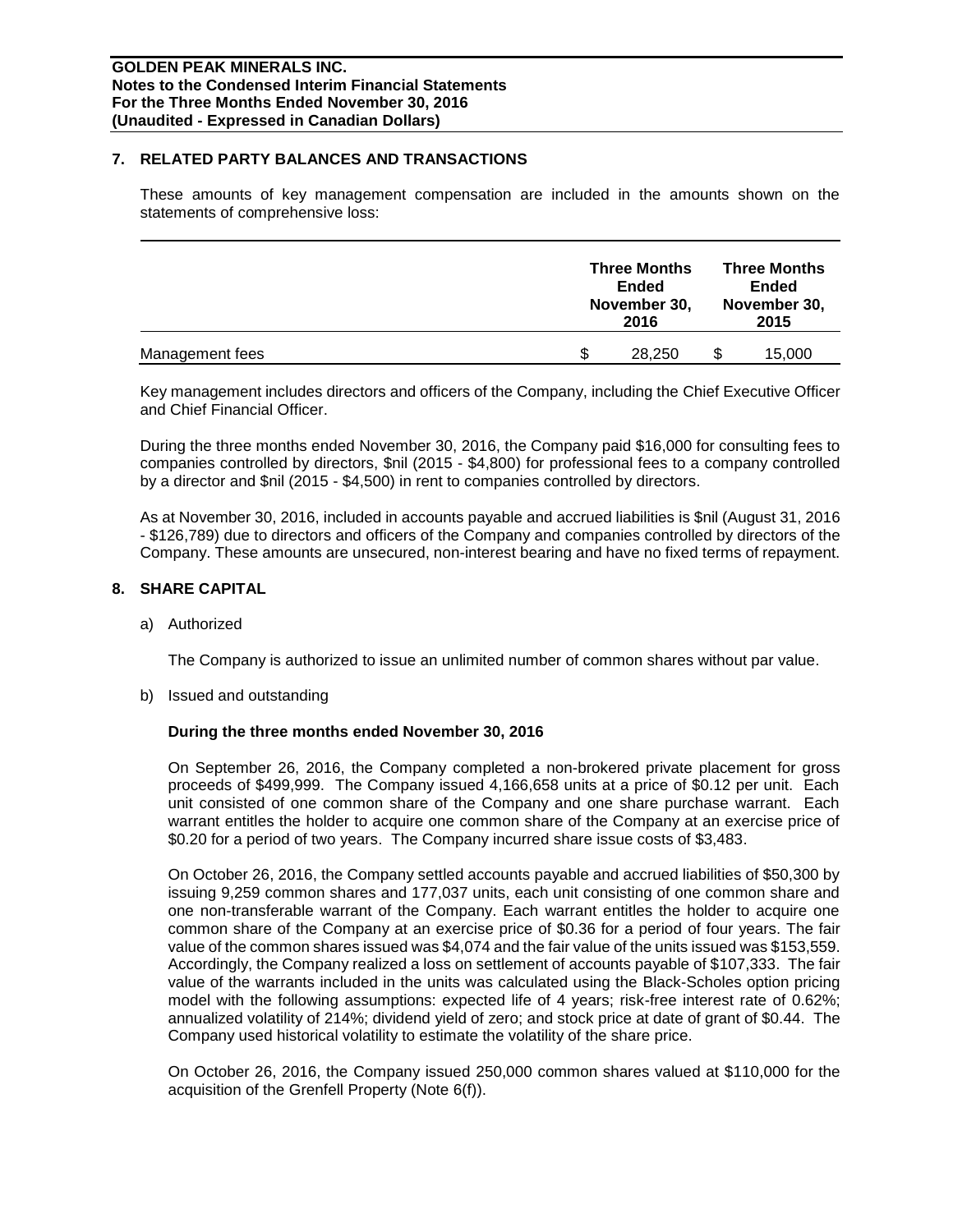#### **7. RELATED PARTY BALANCES AND TRANSACTIONS**

These amounts of key management compensation are included in the amounts shown on the statements of comprehensive loss:

|                 | <b>Three Months</b><br><b>Ended</b><br>November 30,<br>2016 |   | <b>Three Months</b><br><b>Ended</b><br>November 30,<br>2015 |
|-----------------|-------------------------------------------------------------|---|-------------------------------------------------------------|
| Management fees | \$.<br>28.250                                               | S | 15,000                                                      |

Key management includes directors and officers of the Company, including the Chief Executive Officer and Chief Financial Officer.

During the three months ended November 30, 2016, the Company paid \$16,000 for consulting fees to companies controlled by directors, \$nil (2015 - \$4,800) for professional fees to a company controlled by a director and \$nil (2015 - \$4,500) in rent to companies controlled by directors.

As at November 30, 2016, included in accounts payable and accrued liabilities is \$nil (August 31, 2016 - \$126,789) due to directors and officers of the Company and companies controlled by directors of the Company. These amounts are unsecured, non-interest bearing and have no fixed terms of repayment.

## **8. SHARE CAPITAL**

a) Authorized

The Company is authorized to issue an unlimited number of common shares without par value.

b) Issued and outstanding

#### **During the three months ended November 30, 2016**

On September 26, 2016, the Company completed a non-brokered private placement for gross proceeds of \$499,999. The Company issued 4,166,658 units at a price of \$0.12 per unit. Each unit consisted of one common share of the Company and one share purchase warrant. Each warrant entitles the holder to acquire one common share of the Company at an exercise price of \$0.20 for a period of two years. The Company incurred share issue costs of \$3,483.

On October 26, 2016, the Company settled accounts payable and accrued liabilities of \$50,300 by issuing 9,259 common shares and 177,037 units, each unit consisting of one common share and one non-transferable warrant of the Company. Each warrant entitles the holder to acquire one common share of the Company at an exercise price of \$0.36 for a period of four years. The fair value of the common shares issued was \$4,074 and the fair value of the units issued was \$153,559. Accordingly, the Company realized a loss on settlement of accounts payable of \$107,333. The fair value of the warrants included in the units was calculated using the Black-Scholes option pricing model with the following assumptions: expected life of 4 years; risk-free interest rate of 0.62%; annualized volatility of 214%; dividend yield of zero; and stock price at date of grant of \$0.44. The Company used historical volatility to estimate the volatility of the share price.

On October 26, 2016, the Company issued 250,000 common shares valued at \$110,000 for the acquisition of the Grenfell Property (Note 6(f)).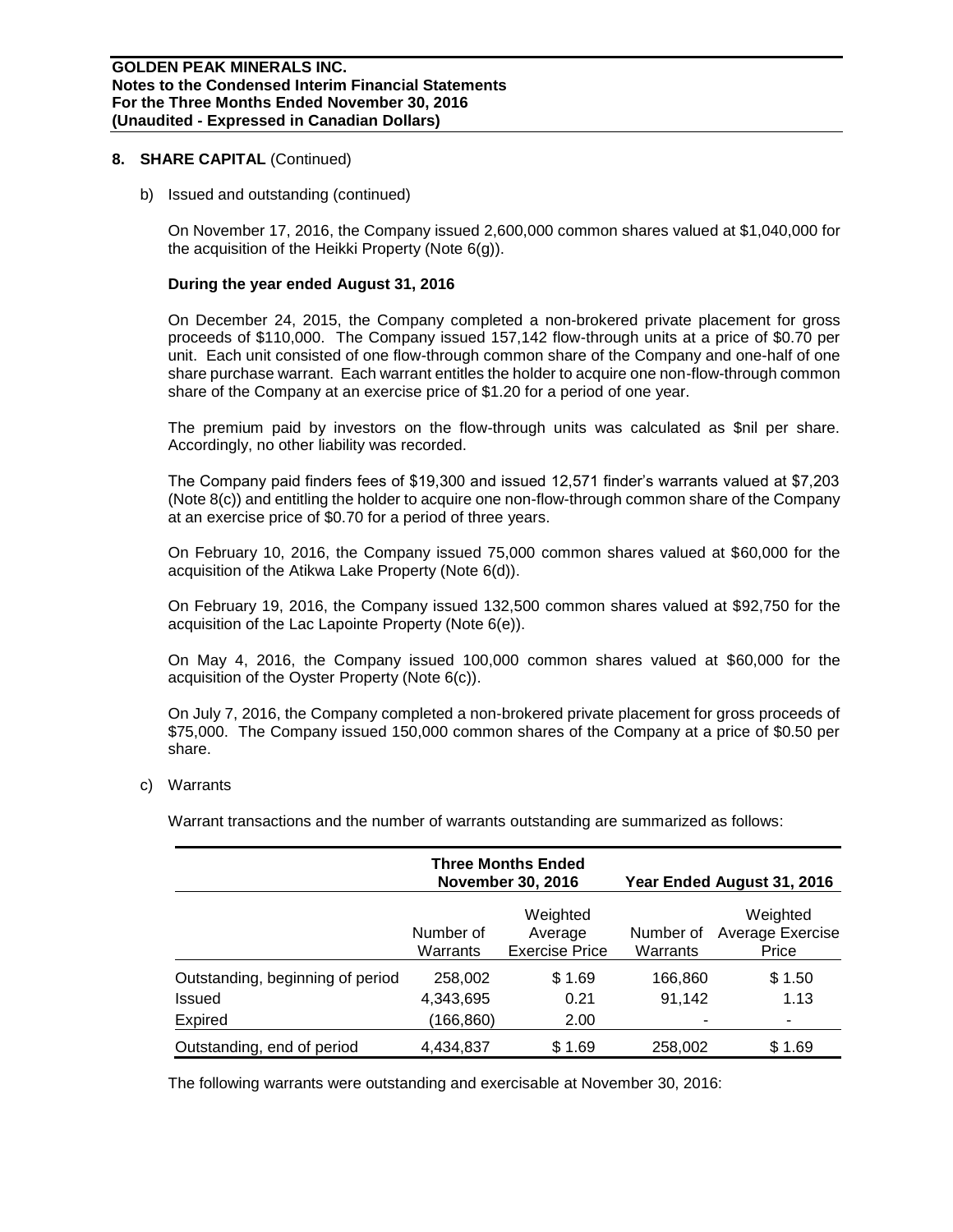#### **8. SHARE CAPITAL** (Continued)

b) Issued and outstanding (continued)

On November 17, 2016, the Company issued 2,600,000 common shares valued at \$1,040,000 for the acquisition of the Heikki Property (Note 6(g)).

#### **During the year ended August 31, 2016**

On December 24, 2015, the Company completed a non-brokered private placement for gross proceeds of \$110,000. The Company issued 157,142 flow-through units at a price of \$0.70 per unit. Each unit consisted of one flow-through common share of the Company and one-half of one share purchase warrant. Each warrant entitles the holder to acquire one non-flow-through common share of the Company at an exercise price of \$1.20 for a period of one year.

The premium paid by investors on the flow-through units was calculated as \$nil per share. Accordingly, no other liability was recorded.

The Company paid finders fees of \$19,300 and issued 12,571 finder's warrants valued at \$7,203 (Note 8(c)) and entitling the holder to acquire one non-flow-through common share of the Company at an exercise price of \$0.70 for a period of three years.

On February 10, 2016, the Company issued 75,000 common shares valued at \$60,000 for the acquisition of the Atikwa Lake Property (Note 6(d)).

On February 19, 2016, the Company issued 132,500 common shares valued at \$92,750 for the acquisition of the Lac Lapointe Property (Note 6(e)).

On May 4, 2016, the Company issued 100,000 common shares valued at \$60,000 for the acquisition of the Oyster Property (Note 6(c)).

On July 7, 2016, the Company completed a non-brokered private placement for gross proceeds of \$75,000. The Company issued 150,000 common shares of the Company at a price of \$0.50 per share.

c) Warrants

Warrant transactions and the number of warrants outstanding are summarized as follows:

|                                  |                       | <b>Three Months Ended</b><br><b>November 30, 2016</b> |                       | Year Ended August 31, 2016            |
|----------------------------------|-----------------------|-------------------------------------------------------|-----------------------|---------------------------------------|
|                                  | Number of<br>Warrants | Weighted<br>Average<br><b>Exercise Price</b>          | Number of<br>Warrants | Weighted<br>Average Exercise<br>Price |
| Outstanding, beginning of period | 258,002               | \$1.69                                                | 166,860               | \$1.50                                |
| Issued                           | 4,343,695             | 0.21                                                  | 91.142                | 1.13                                  |
| Expired                          | (166, 860)            | 2.00                                                  |                       |                                       |
| Outstanding, end of period       | 4,434,837             | \$1.69                                                | 258,002               | \$ 1.69                               |

The following warrants were outstanding and exercisable at November 30, 2016: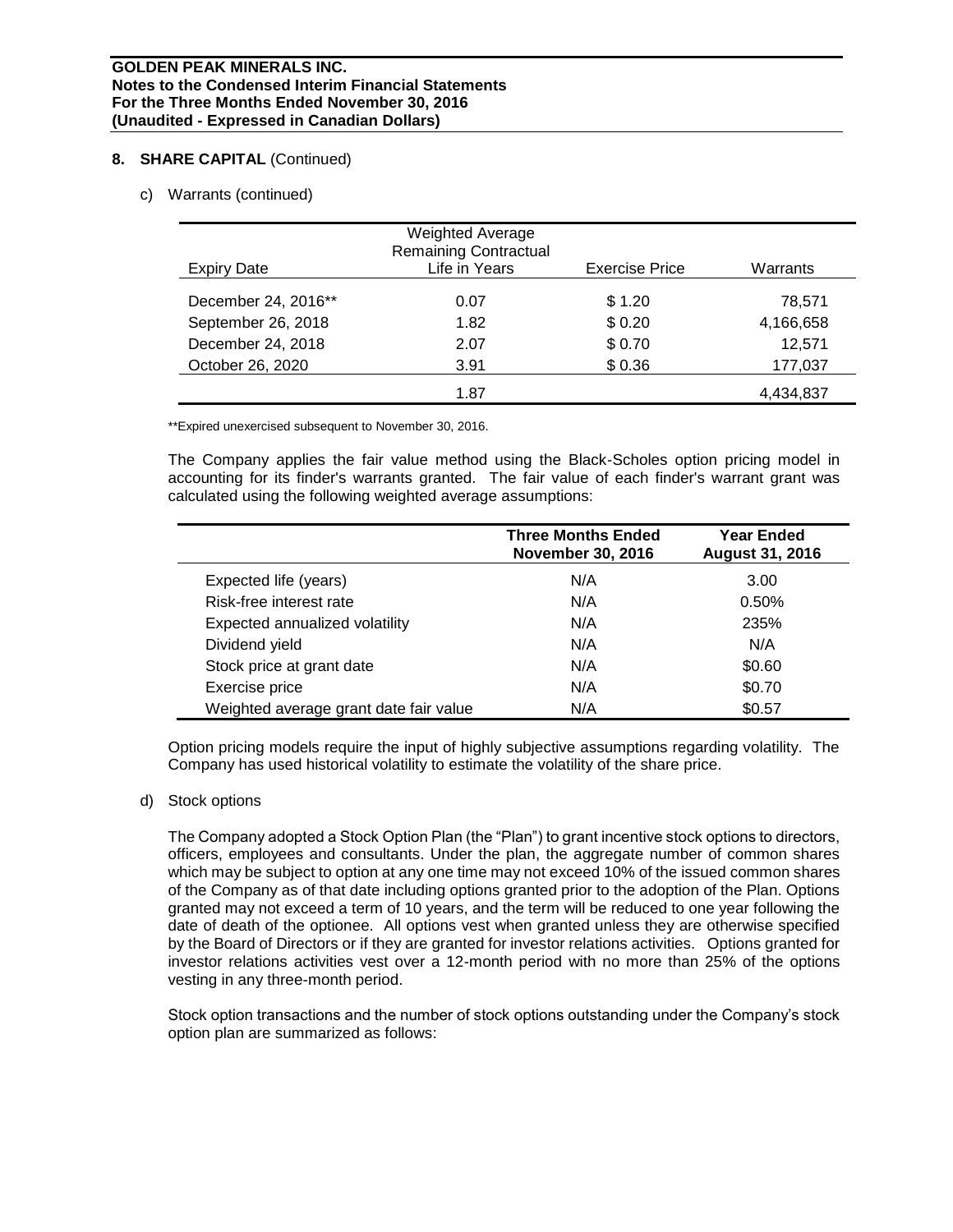## **8. SHARE CAPITAL** (Continued)

c) Warrants (continued)

| <b>Expiry Date</b>  | <b>Weighted Average</b><br><b>Remaining Contractual</b><br>Life in Years | <b>Exercise Price</b> | Warrants  |
|---------------------|--------------------------------------------------------------------------|-----------------------|-----------|
|                     |                                                                          |                       |           |
| December 24, 2016** | 0.07                                                                     | \$1.20                | 78,571    |
| September 26, 2018  | 1.82                                                                     | \$0.20                | 4,166,658 |
| December 24, 2018   | 2.07                                                                     | \$0.70                | 12,571    |
| October 26, 2020    | 3.91                                                                     | \$0.36                | 177,037   |
|                     | 1.87                                                                     |                       | 4,434,837 |

\*\*Expired unexercised subsequent to November 30, 2016.

The Company applies the fair value method using the Black-Scholes option pricing model in accounting for its finder's warrants granted. The fair value of each finder's warrant grant was calculated using the following weighted average assumptions:

|                                        | <b>Three Months Ended</b><br><b>November 30, 2016</b> | <b>Year Ended</b><br><b>August 31, 2016</b> |
|----------------------------------------|-------------------------------------------------------|---------------------------------------------|
| Expected life (years)                  | N/A                                                   | 3.00                                        |
| Risk-free interest rate                | N/A                                                   | 0.50%                                       |
| Expected annualized volatility         | N/A                                                   | 235%                                        |
| Dividend yield                         | N/A                                                   | N/A                                         |
| Stock price at grant date              | N/A                                                   | \$0.60                                      |
| Exercise price                         | N/A                                                   | \$0.70                                      |
| Weighted average grant date fair value | N/A                                                   | \$0.57                                      |

Option pricing models require the input of highly subjective assumptions regarding volatility. The Company has used historical volatility to estimate the volatility of the share price.

#### d) Stock options

The Company adopted a Stock Option Plan (the "Plan") to grant incentive stock options to directors, officers, employees and consultants. Under the plan, the aggregate number of common shares which may be subject to option at any one time may not exceed 10% of the issued common shares of the Company as of that date including options granted prior to the adoption of the Plan. Options granted may not exceed a term of 10 years, and the term will be reduced to one year following the date of death of the optionee. All options vest when granted unless they are otherwise specified by the Board of Directors or if they are granted for investor relations activities. Options granted for investor relations activities vest over a 12-month period with no more than 25% of the options vesting in any three-month period.

Stock option transactions and the number of stock options outstanding under the Company's stock option plan are summarized as follows: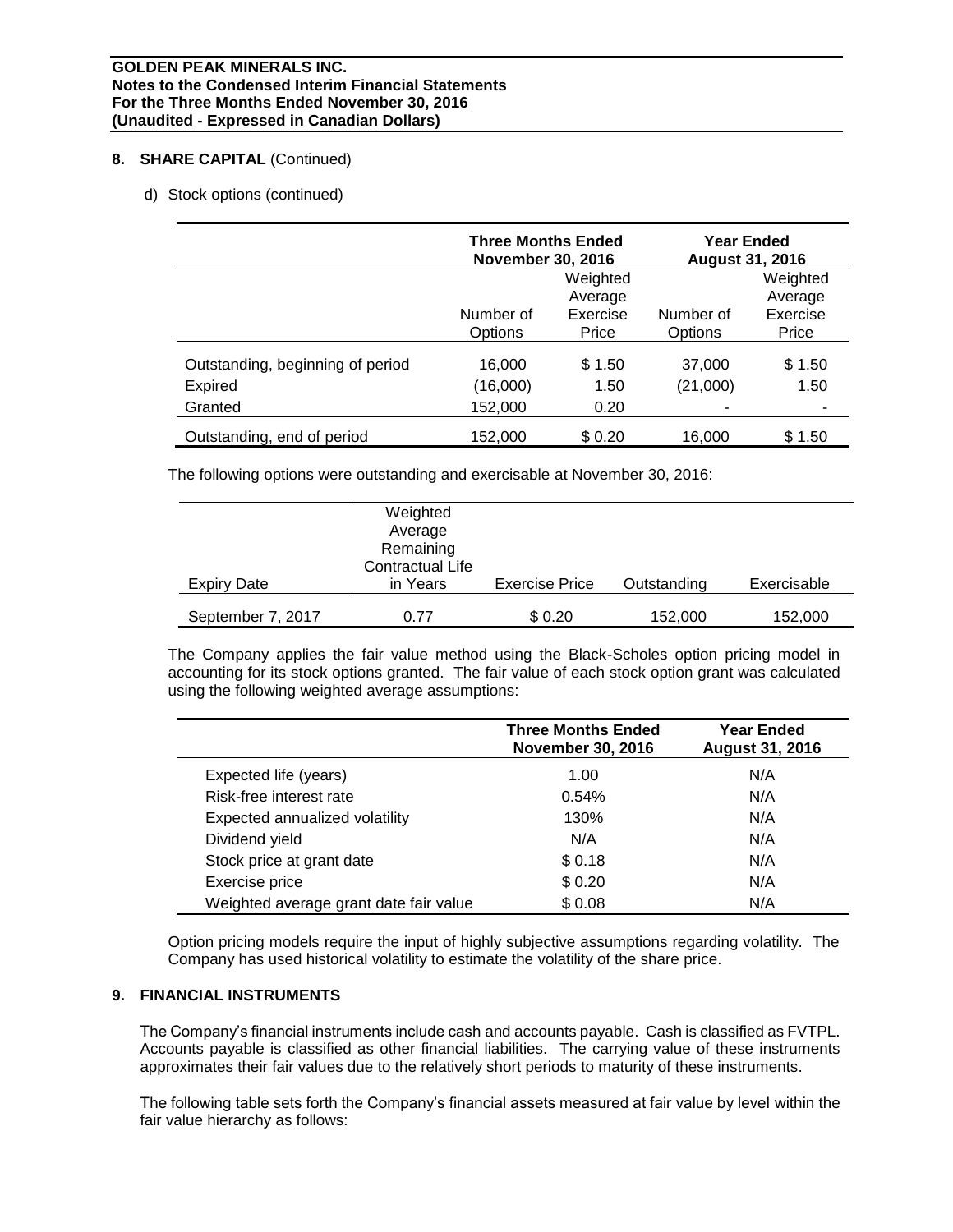# **8. SHARE CAPITAL** (Continued)

d) Stock options (continued)

|                                  | <b>Three Months Ended</b><br><b>November 30, 2016</b> |                     | <b>Year Ended</b><br><b>August 31, 2016</b> |                     |
|----------------------------------|-------------------------------------------------------|---------------------|---------------------------------------------|---------------------|
|                                  |                                                       | Weighted<br>Average |                                             | Weighted<br>Average |
|                                  | Number of<br>Options                                  | Exercise<br>Price   | Number of<br>Options                        | Exercise<br>Price   |
| Outstanding, beginning of period | 16,000                                                | \$1.50              | 37,000                                      | \$1.50              |
| Expired                          | (16,000)                                              | 1.50                | (21,000)                                    | 1.50                |
| Granted                          | 152,000                                               | 0.20                |                                             |                     |
| Outstanding, end of period       | 152,000                                               | \$0.20              | 16,000                                      | \$1.50              |

The following options were outstanding and exercisable at November 30, 2016:

| Expiry Date       | Weighted<br>Average<br>Remaining<br><b>Contractual Life</b><br>in Years | <b>Exercise Price</b> | Outstanding | Exercisable |
|-------------------|-------------------------------------------------------------------------|-----------------------|-------------|-------------|
| September 7, 2017 | 0.77                                                                    | \$0.20                | 152,000     | 152,000     |

The Company applies the fair value method using the Black-Scholes option pricing model in accounting for its stock options granted. The fair value of each stock option grant was calculated using the following weighted average assumptions:

|                                        | <b>Three Months Ended</b><br><b>November 30, 2016</b> | <b>Year Ended</b><br><b>August 31, 2016</b> |
|----------------------------------------|-------------------------------------------------------|---------------------------------------------|
| Expected life (years)                  | 1.00                                                  | N/A                                         |
| Risk-free interest rate                | 0.54%                                                 | N/A                                         |
| Expected annualized volatility         | 130%                                                  | N/A                                         |
| Dividend yield                         | N/A                                                   | N/A                                         |
| Stock price at grant date              | \$0.18                                                | N/A                                         |
| Exercise price                         | \$0.20                                                | N/A                                         |
| Weighted average grant date fair value | \$0.08                                                | N/A                                         |

Option pricing models require the input of highly subjective assumptions regarding volatility. The Company has used historical volatility to estimate the volatility of the share price.

## **9. FINANCIAL INSTRUMENTS**

The Company's financial instruments include cash and accounts payable. Cash is classified as FVTPL. Accounts payable is classified as other financial liabilities. The carrying value of these instruments approximates their fair values due to the relatively short periods to maturity of these instruments.

The following table sets forth the Company's financial assets measured at fair value by level within the fair value hierarchy as follows: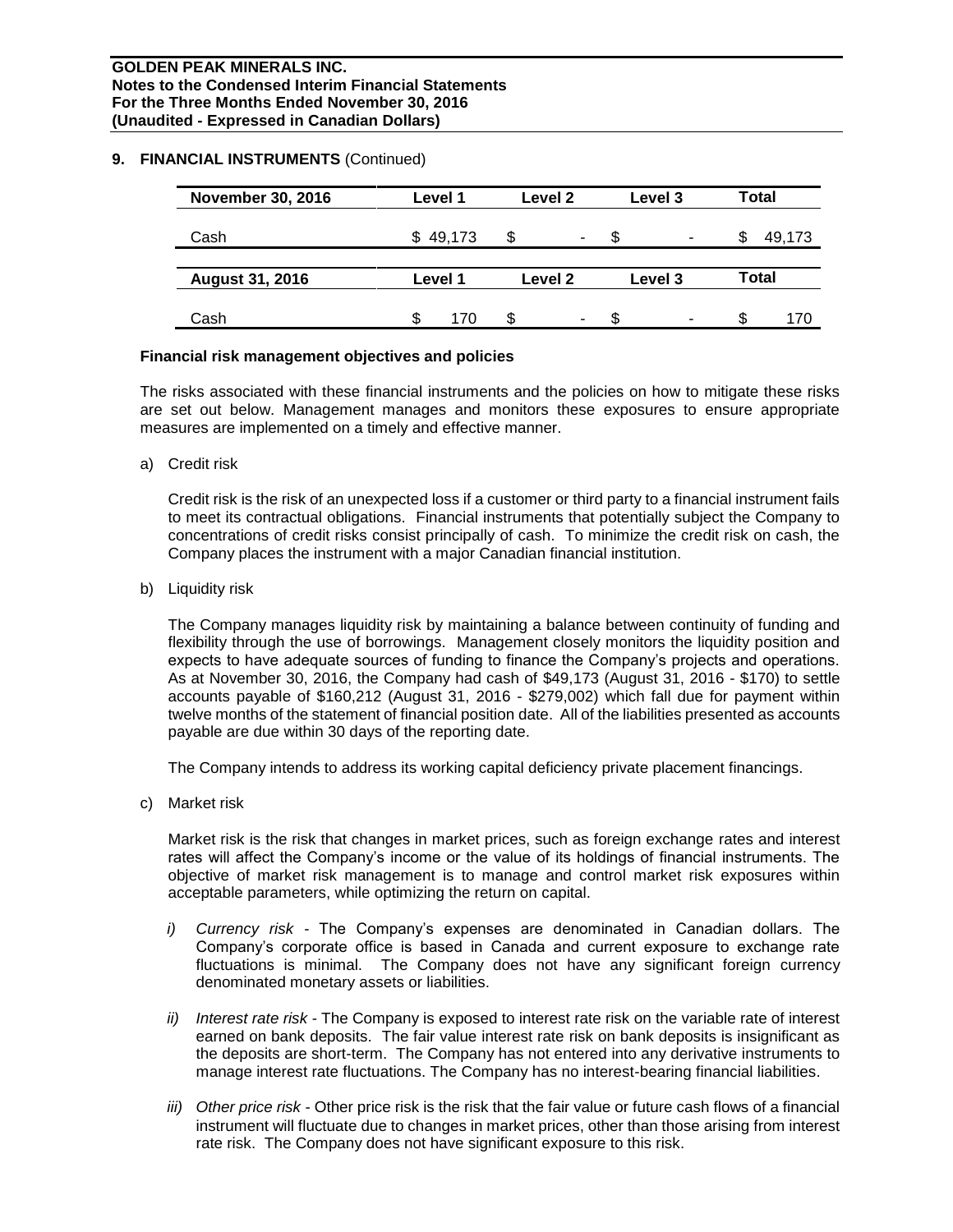#### **9. FINANCIAL INSTRUMENTS** (Continued)

| <b>November 30, 2016</b> | Level 1     | Level 2 | Level 3 | <b>Total</b> |
|--------------------------|-------------|---------|---------|--------------|
| Cash                     | 49,173<br>S | S       | S<br>-  | 49,173<br>Ж  |
| <b>August 31, 2016</b>   | Level 1     | Level 2 | Level 3 | <b>Total</b> |
| Cash                     | 170         | S.<br>۰ | £.<br>۰ | \$<br>170    |

#### **Financial risk management objectives and policies**

The risks associated with these financial instruments and the policies on how to mitigate these risks are set out below. Management manages and monitors these exposures to ensure appropriate measures are implemented on a timely and effective manner.

a) Credit risk

Credit risk is the risk of an unexpected loss if a customer or third party to a financial instrument fails to meet its contractual obligations. Financial instruments that potentially subject the Company to concentrations of credit risks consist principally of cash. To minimize the credit risk on cash, the Company places the instrument with a major Canadian financial institution.

b) Liquidity risk

The Company manages liquidity risk by maintaining a balance between continuity of funding and flexibility through the use of borrowings. Management closely monitors the liquidity position and expects to have adequate sources of funding to finance the Company's projects and operations. As at November 30, 2016, the Company had cash of \$49,173 (August 31, 2016 - \$170) to settle accounts payable of \$160,212 (August 31, 2016 - \$279,002) which fall due for payment within twelve months of the statement of financial position date. All of the liabilities presented as accounts payable are due within 30 days of the reporting date.

The Company intends to address its working capital deficiency private placement financings.

c) Market risk

Market risk is the risk that changes in market prices, such as foreign exchange rates and interest rates will affect the Company's income or the value of its holdings of financial instruments. The objective of market risk management is to manage and control market risk exposures within acceptable parameters, while optimizing the return on capital.

- *i) Currency risk -* The Company's expenses are denominated in Canadian dollars. The Company's corporate office is based in Canada and current exposure to exchange rate fluctuations is minimal. The Company does not have any significant foreign currency denominated monetary assets or liabilities.
- *ii) Interest rate risk -* The Company is exposed to interest rate risk on the variable rate of interest earned on bank deposits. The fair value interest rate risk on bank deposits is insignificant as the deposits are short-term. The Company has not entered into any derivative instruments to manage interest rate fluctuations. The Company has no interest-bearing financial liabilities.
- *iii) Other price risk -* Other price risk is the risk that the fair value or future cash flows of a financial instrument will fluctuate due to changes in market prices, other than those arising from interest rate risk. The Company does not have significant exposure to this risk.